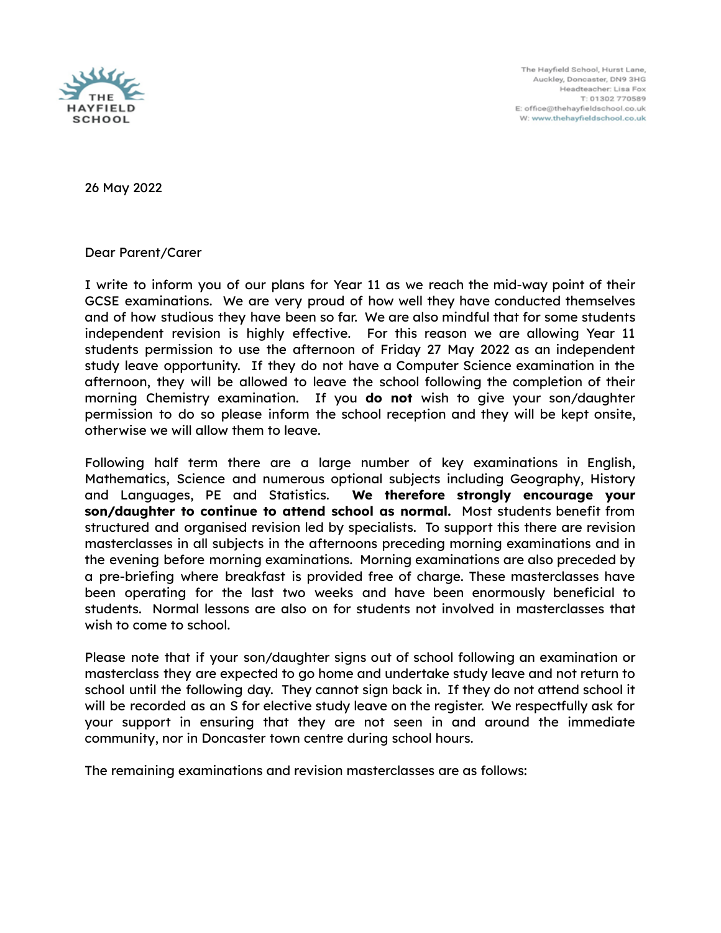

The Havfield School, Hurst Lane. Auckley, Doncaster, DN9 3HG Headteacher: Lisa Fox T: 01302 770589 E: office@thehayfieldschool.co.uk W: www.thehayfieldschool.co.uk

26 May 2022

Dear Parent/Carer

I write to inform you of our plans for Year 11 as we reach the mid-way point of their GCSE examinations. We are very proud of how well they have conducted themselves and of how studious they have been so far. We are also mindful that for some students independent revision is highly effective. For this reason we are allowing Year 11 students permission to use the afternoon of Friday 27 May 2022 as an independent study leave opportunity. If they do not have a Computer Science examination in the afternoon, they will be allowed to leave the school following the completion of their morning Chemistry examination. If you **do not** wish to give your son/daughter permission to do so please inform the school reception and they will be kept onsite, otherwise we will allow them to leave.

Following half term there are a large number of key examinations in English, Mathematics, Science and numerous optional subjects including Geography, History and Languages, PE and Statistics. **We therefore strongly encourage your son/daughter to continue to attend school as normal.** Most students benefit from structured and organised revision led by specialists. To support this there are revision masterclasses in all subjects in the afternoons preceding morning examinations and in the evening before morning examinations. Morning examinations are also preceded by a pre-briefing where breakfast is provided free of charge. These masterclasses have been operating for the last two weeks and have been enormously beneficial to students. Normal lessons are also on for students not involved in masterclasses that wish to come to school.

Please note that if your son/daughter signs out of school following an examination or masterclass they are expected to go home and undertake study leave and not return to school until the following day. They cannot sign back in. If they do not attend school it will be recorded as an S for elective study leave on the register. We respectfully ask for your support in ensuring that they are not seen in and around the immediate community, nor in Doncaster town centre during school hours.

The remaining examinations and revision masterclasses are as follows: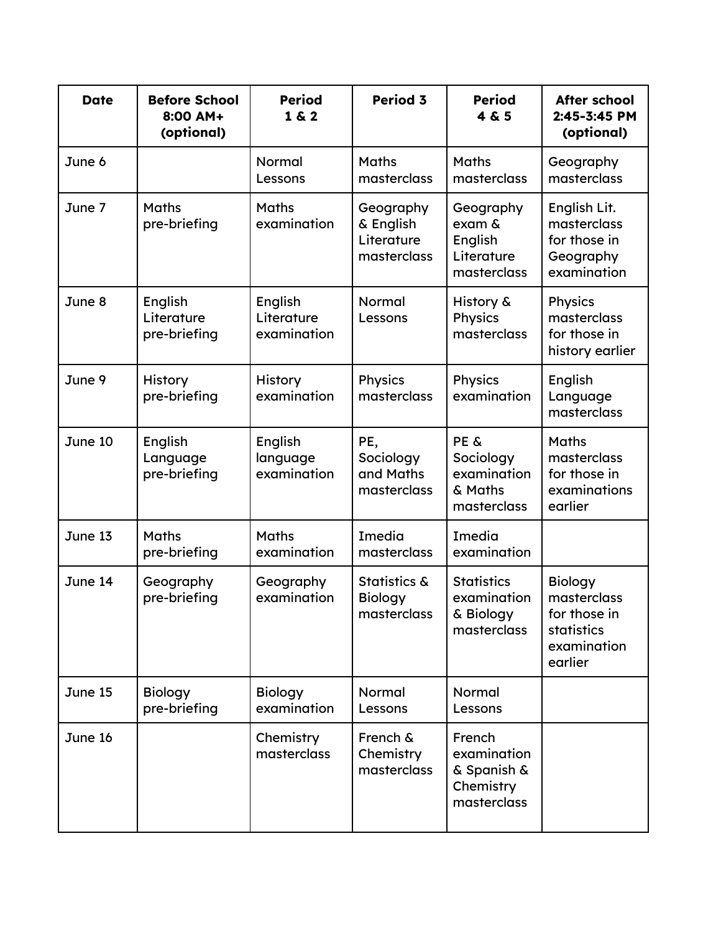| <b>Date</b> | <b>Before School</b><br>8:00 AM+<br>(optional) | <b>Period</b><br>1 & 2               | <b>Period 3</b>                                     | <b>Period</b><br>4 & 5                                           | <b>After school</b><br>2:45-3:45 PM<br>(optional)                                     |
|-------------|------------------------------------------------|--------------------------------------|-----------------------------------------------------|------------------------------------------------------------------|---------------------------------------------------------------------------------------|
| June 6      |                                                | Normal<br>Lessons                    | <b>Maths</b><br>masterclass                         | <b>Maths</b><br>masterclass                                      | Geography<br>masterclass                                                              |
| June 7      | <b>Maths</b><br>pre-briefing                   | <b>Maths</b><br>examination          | Geography<br>& English<br>Literature<br>masterclass | Geography<br>$exam$ &<br>English<br>Literature<br>masterclass    | English Lit.<br>masterclass<br>for those in<br>Geography<br>examination               |
| June 8      | English<br>Literature<br>pre-briefing          | English<br>Literature<br>examination | Normal<br>Lessons                                   | History &<br><b>Physics</b><br>masterclass                       | <b>Physics</b><br>masterclass<br>for those in<br>history earlier                      |
| June 9      | <b>History</b><br>pre-briefing                 | History<br>examination               | <b>Physics</b><br>masterclass                       | <b>Physics</b><br>examination                                    | English<br>Language<br>masterclass                                                    |
| June 10     | English<br>Language<br>pre-briefing            | English<br>language<br>examination   | PE,<br>Sociology<br>and Maths<br>masterclass        | PE &<br>Sociology<br>examination<br>& Maths<br>masterclass       | <b>Maths</b><br>masterclass<br>for those in<br>examinations<br>earlier                |
| June 13     | <b>Maths</b><br>pre-briefing                   | <b>Maths</b><br>examination          | Imedia<br>masterclass                               | Imedia<br>examination                                            |                                                                                       |
| June 14     | Geography<br>pre-briefing                      | Geography<br>examination             | Statistics &<br>Biology<br>masterclass              | <b>Statistics</b><br>examination<br>& Biology<br>masterclass     | <b>Biology</b><br>masterclass<br>for those in<br>statistics<br>examination<br>earlier |
| June 15     | <b>Biology</b><br>pre-briefing                 | <b>Biology</b><br>examination        | Normal<br>Lessons                                   | Normal<br>Lessons                                                |                                                                                       |
| June 16     |                                                | Chemistry<br>masterclass             | French &<br>Chemistry<br>masterclass                | French<br>examination<br>& Spanish &<br>Chemistry<br>masterclass |                                                                                       |